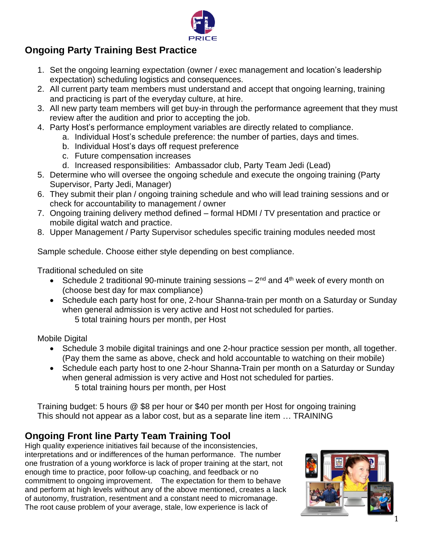

## **Ongoing Party Training Best Practice**

- 1. Set the ongoing learning expectation (owner / exec management and location's leadership expectation) scheduling logistics and consequences.
- 2. All current party team members must understand and accept that ongoing learning, training and practicing is part of the everyday culture, at hire.
- 3. All new party team members will get buy-in through the performance agreement that they must review after the audition and prior to accepting the job.
- 4. Party Host's performance employment variables are directly related to compliance.
	- a. Individual Host's schedule preference: the number of parties, days and times.
	- b. Individual Host's days off request preference
	- c. Future compensation increases
	- d. Increased responsibilities: Ambassador club, Party Team Jedi (Lead)
- 5. Determine who will oversee the ongoing schedule and execute the ongoing training (Party Supervisor, Party Jedi, Manager)
- 6. They submit their plan / ongoing training schedule and who will lead training sessions and or check for accountability to management / owner
- 7. Ongoing training delivery method defined formal HDMI / TV presentation and practice or mobile digital watch and practice.
- 8. Upper Management / Party Supervisor schedules specific training modules needed most

Sample schedule. Choose either style depending on best compliance.

Traditional scheduled on site

- Schedule 2 traditional 90-minute training sessions  $-2^{nd}$  and  $4^{th}$  week of every month on (choose best day for max compliance)
- Schedule each party host for one, 2-hour Shanna-train per month on a Saturday or Sunday when general admission is very active and Host not scheduled for parties. 5 total training hours per month, per Host

Mobile Digital

- Schedule 3 mobile digital trainings and one 2-hour practice session per month, all together. (Pay them the same as above, check and hold accountable to watching on their mobile)
- Schedule each party host to one 2-hour Shanna-Train per month on a Saturday or Sunday when general admission is very active and Host not scheduled for parties. 5 total training hours per month, per Host

Training budget: 5 hours @ \$8 per hour or \$40 per month per Host for ongoing training This should not appear as a labor cost, but as a separate line item … TRAINING

## **Ongoing Front line Party Team Training Tool**

High quality experience initiatives fail because of the inconsistencies, interpretations and or indifferences of the human performance. The number one frustration of a young workforce is lack of proper training at the start, not enough time to practice, poor follow-up coaching, and feedback or no commitment to ongoing improvement. The expectation for them to behave and perform at high levels without any of the above mentioned, creates a lack of autonomy, frustration, resentment and a constant need to micromanage. The root cause problem of your average, stale, low experience is lack of